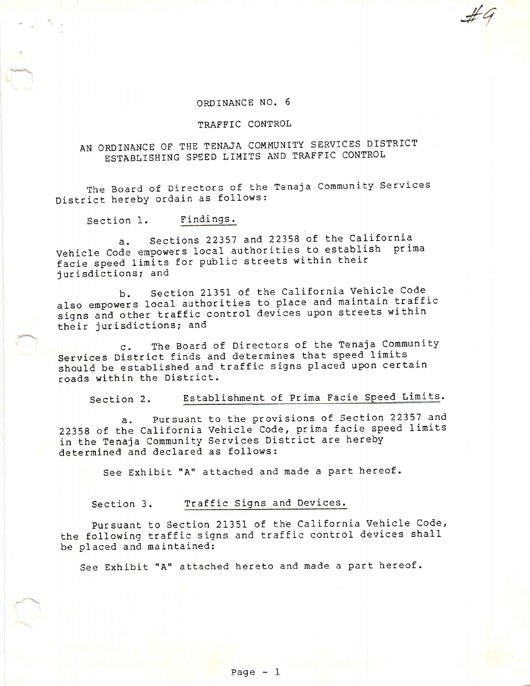## ORDINANCE NO. <sup>6</sup>

## TRAFFIC CONTROL

# AN ORDINANCE OF THE TENAJA COMMUNITY SERVICES DISTRICT ESTABLISHING SPEED LIMITS AND TRAFFIC CONTROL

The Board of Directors of the Tenaja Community Services District herebY ordain as follows:

Section 1. Findings.

a. sections 22357 and 22358 0f the california Vehicle Code empowers local authorities to establish prima facie speed Iimits for public streets within their jurisdictions; and

b. section 21351 0f the california vehicle code also empowers local authorities to place and maintain traffic signs and other traffic control devices upon streets within their jurisdictions; and

c. The Board of Directors of the Tenaja Community Services District finds and determines that speed limits should be established and traffic signs placed upon certain roads within the District.

Section 2. Establishment of Prima Facie Speed Limits.

a. Pursuant to the provisions of Section 22357 and <sup>22358</sup>of the california vehicle code, prima facie speed limits in the Tenaja community services District are hereby determined and declared as follows:

See Exhibit "A" attached and made a part hereof.

Section 3. Traffic Signs and Devices.

pursuant to Section 21351 of the California Vehicle Code, the following traffic signs and traffic control devices shall be placed and maintained:

See Exhibit "A" attached hereto and made a part hereof.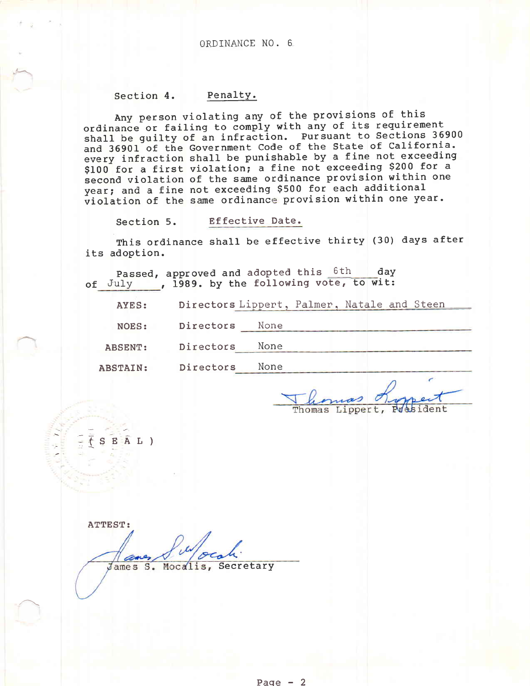## ORDINANCE NO. <sup>6</sup>

## Section 4. Penalty.

Any person violating any of the provisions of this ordinance or failing to comply with any of its requirement shall be guilty of an infraction. Pursuant to Sections 36900 and 36901 of the Government Code of the State of California. every infraction shall be punishable by a fine not exceeding \$100 for a first violation; a fine not exceeding \$200 for a second violation of the same ordinance provision within one year; and a fine not exceeding \$500 fof each additional violation of the same ordinance provision within one year.

Section 5. Effective Date.

This ordinance shall be effective thirty (30) days after its adoption.

Passed, approved and adopted this 6th day of July approved and doopted this

AYES: Directors Lippert, Palmer, Natale and Steen

NOES: Directors None

ABSENT: Directors None

ABSTAIN: Directors None

 $\overline{f}$ 

-tSEA L)

President Thomas Lippert,

ATTEST: James S. Mocalis, Secretary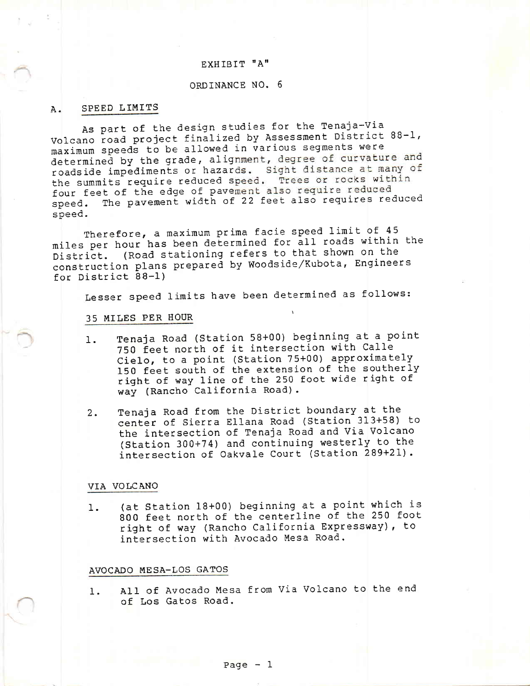## EXHIBIT "A"

## ORDINANCE NO. <sup>6</sup>

#### A. SPEED LIMITS

As part of the design studies for the Tenaja-via Volcano road project finalized by Assessment District 88-1, maximum speeds to be allowed in various segments were determined by the grade, alignment, degree of curvature and roadside impediments or hazards. Sight distance at many of the summits require reduced speed. Trees or rocks within four feet of the edge of pavement also require reduced<br>speed. The pavement width of 22 feet also requires re The pavement width of 22 feet also requires reduced speed.

Therefore, a maximum prima facie speed limit of 45 miles per hour has been determined for all roads within the<br>District. (Road stationing refers to that shown on the (Road stationing refers to that shown on the construction plans prepared by Woodside/Kubota, Engineers for District 88-1)

Lesser speed limits have been determined as follows:

#### 35 MILES PER IIOUR

- 1. Tenaja Road (Station 58+00) beginning at a point 750 feet north of it intersection with Calle Cielo, to a point (Station 75+00) approximately 150 feet south of the extension of the southerly right of way line of the 250 foot wide right of way (Rancho California Road).
- 2. Tenaja Road from the District boundary at the center of sierra El1ana Road (station 313+58) to the intersection of Tenaja Road and Via volcano (station 300+74) and continuing westerly to the intersection of oakvale court (station 289+2L).

## VIA VOLCANO

1. (at Station 18+00) beginning at a point which is 800 feet north of the centerline of the 250 foot right of way (Rancho California Expressway), to intersection with Avocado Mesa Road.

#### AVOCADO MESA-LOS GATOS

1. All of Avocado Mesa from Via Volcano to the end of Los Gatos Road.